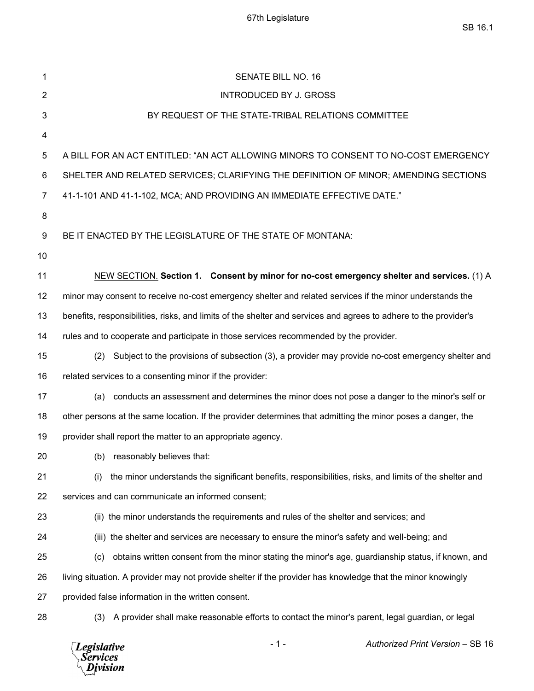| 1              | <b>SENATE BILL NO. 16</b>                                                                                        |  |  |
|----------------|------------------------------------------------------------------------------------------------------------------|--|--|
| $\overline{2}$ | <b>INTRODUCED BY J. GROSS</b>                                                                                    |  |  |
| 3              | BY REQUEST OF THE STATE-TRIBAL RELATIONS COMMITTEE                                                               |  |  |
| 4              |                                                                                                                  |  |  |
| 5              | A BILL FOR AN ACT ENTITLED: "AN ACT ALLOWING MINORS TO CONSENT TO NO-COST EMERGENCY                              |  |  |
| 6              | SHELTER AND RELATED SERVICES; CLARIFYING THE DEFINITION OF MINOR; AMENDING SECTIONS                              |  |  |
| 7              | 41-1-101 AND 41-1-102, MCA; AND PROVIDING AN IMMEDIATE EFFECTIVE DATE."                                          |  |  |
| 8              |                                                                                                                  |  |  |
| 9              | BE IT ENACTED BY THE LEGISLATURE OF THE STATE OF MONTANA:                                                        |  |  |
| 10             |                                                                                                                  |  |  |
| 11             | NEW SECTION. Section 1. Consent by minor for no-cost emergency shelter and services. (1) A                       |  |  |
| 12             | minor may consent to receive no-cost emergency shelter and related services if the minor understands the         |  |  |
| 13             | benefits, responsibilities, risks, and limits of the shelter and services and agrees to adhere to the provider's |  |  |
| 14             | rules and to cooperate and participate in those services recommended by the provider.                            |  |  |
| 15             | Subject to the provisions of subsection (3), a provider may provide no-cost emergency shelter and<br>(2)         |  |  |
| 16             | related services to a consenting minor if the provider:                                                          |  |  |
| 17             | conducts an assessment and determines the minor does not pose a danger to the minor's self or<br>(a)             |  |  |
| 18             | other persons at the same location. If the provider determines that admitting the minor poses a danger, the      |  |  |
| 19             | provider shall report the matter to an appropriate agency.                                                       |  |  |
| 20             | (b) reasonably believes that:                                                                                    |  |  |
| 21             | the minor understands the significant benefits, responsibilities, risks, and limits of the shelter and<br>(i)    |  |  |
| 22             | services and can communicate an informed consent;                                                                |  |  |
| 23             | (ii) the minor understands the requirements and rules of the shelter and services; and                           |  |  |
| 24             | (iii) the shelter and services are necessary to ensure the minor's safety and well-being; and                    |  |  |
| 25             | obtains written consent from the minor stating the minor's age, guardianship status, if known, and<br>(c)        |  |  |
| 26             | living situation. A provider may not provide shelter if the provider has knowledge that the minor knowingly      |  |  |
| 27             | provided false information in the written consent.                                                               |  |  |
| 28             | A provider shall make reasonable efforts to contact the minor's parent, legal guardian, or legal<br>(3)          |  |  |
|                |                                                                                                                  |  |  |

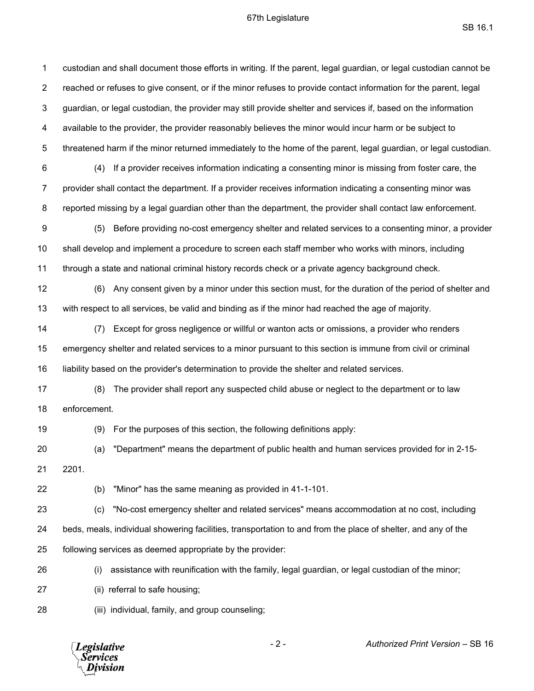## 67th Legislature

 $\mathsf{SB}\ 16.1$ 

1 custodian and shall document those efforts in writing. If the parent, legal guardian, or legal custodian cannot be 2 reached or refuses to give consent, or if the minor refuses to provide contact information for the parent, legal 3 guardian, or legal custodian, the provider may still provide shelter and services if, based on the information 4 available to the provider, the provider reasonably believes the minor would incur harm or be subject to 5 threatened harm if the minor returned immediately to the home of the parent, legal guardian, or legal custodian. 6 (4) If a provider receives information indicating a consenting minor is missing from foster care, the 7 provider shall contact the department. If a provider receives information indicating a consenting minor was 8 reported missing by a legal guardian other than the department, the provider shall contact law enforcement. 9 (5) Before providing no-cost emergency shelter and related services to a consenting minor, a provider 10 shall develop and implement a procedure to screen each staff member who works with minors, including 11 through a state and national criminal history records check or a private agency background check. 12 (6) Any consent given by a minor under this section must, for the duration of the period of shelter and 13 with respect to all services, be valid and binding as if the minor had reached the age of majority. 14 (7) Except for gross negligence or willful or wanton acts or omissions, a provider who renders 15 emergency shelter and related services to a minor pursuant to this section is immune from civil or criminal 16 liability based on the provider's determination to provide the shelter and related services. 17 (8) The provider shall report any suspected child abuse or neglect to the department or to law 18 enforcement. 19 (9) For the purposes of this section, the following definitions apply: 20 (a) "Department" means the department of public health and human services provided for in 2-15- 21 2201. 22 (b) "Minor" has the same meaning as provided in 41-1-101. 23 (c) "No-cost emergency shelter and related services" means accommodation at no cost, including 24 beds, meals, individual showering facilities, transportation to and from the place of shelter, and any of the 25 following services as deemed appropriate by the provider: 26 (i) assistance with reunification with the family, legal guardian, or legal custodian of the minor; 27 (ii) referral to safe housing; 28 (iii) individual, family, and group counseling;

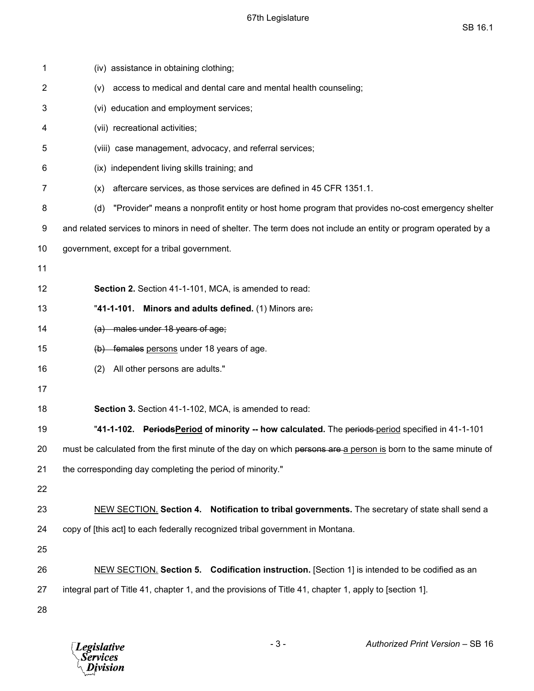| 1  | (iv) assistance in obtaining clothing;                                                                          |  |  |  |
|----|-----------------------------------------------------------------------------------------------------------------|--|--|--|
| 2  | access to medical and dental care and mental health counseling;<br>(v)                                          |  |  |  |
| 3  | (vi) education and employment services;                                                                         |  |  |  |
| 4  | (vii) recreational activities;                                                                                  |  |  |  |
| 5  | (viii) case management, advocacy, and referral services;                                                        |  |  |  |
| 6  | (ix) independent living skills training; and                                                                    |  |  |  |
| 7  | aftercare services, as those services are defined in 45 CFR 1351.1.<br>(x)                                      |  |  |  |
| 8  | "Provider" means a nonprofit entity or host home program that provides no-cost emergency shelter<br>(d)         |  |  |  |
| 9  | and related services to minors in need of shelter. The term does not include an entity or program operated by a |  |  |  |
| 10 | government, except for a tribal government.                                                                     |  |  |  |
| 11 |                                                                                                                 |  |  |  |
| 12 | Section 2. Section 41-1-101, MCA, is amended to read:                                                           |  |  |  |
| 13 | "41-1-101. Minors and adults defined. (1) Minors are:                                                           |  |  |  |
| 14 | (a) males under 18 years of age;                                                                                |  |  |  |
| 15 | (b) females persons under 18 years of age.                                                                      |  |  |  |
| 16 | All other persons are adults."<br>(2)                                                                           |  |  |  |
| 17 |                                                                                                                 |  |  |  |
| 18 | Section 3. Section 41-1-102, MCA, is amended to read:                                                           |  |  |  |
| 19 | "41-1-102. PeriodsPeriod of minority -- how calculated. The periods-period specified in 41-1-101                |  |  |  |
| 20 | must be calculated from the first minute of the day on which persons are a person is born to the same minute of |  |  |  |
| 21 | the corresponding day completing the period of minority."                                                       |  |  |  |
| 22 |                                                                                                                 |  |  |  |
| 23 | NEW SECTION. Section 4. Notification to tribal governments. The secretary of state shall send a                 |  |  |  |
| 24 | copy of [this act] to each federally recognized tribal government in Montana.                                   |  |  |  |
| 25 |                                                                                                                 |  |  |  |
| 26 | NEW SECTION. Section 5. Codification instruction. [Section 1] is intended to be codified as an                  |  |  |  |
| 27 | integral part of Title 41, chapter 1, and the provisions of Title 41, chapter 1, apply to [section 1].          |  |  |  |
| 28 |                                                                                                                 |  |  |  |
|    |                                                                                                                 |  |  |  |